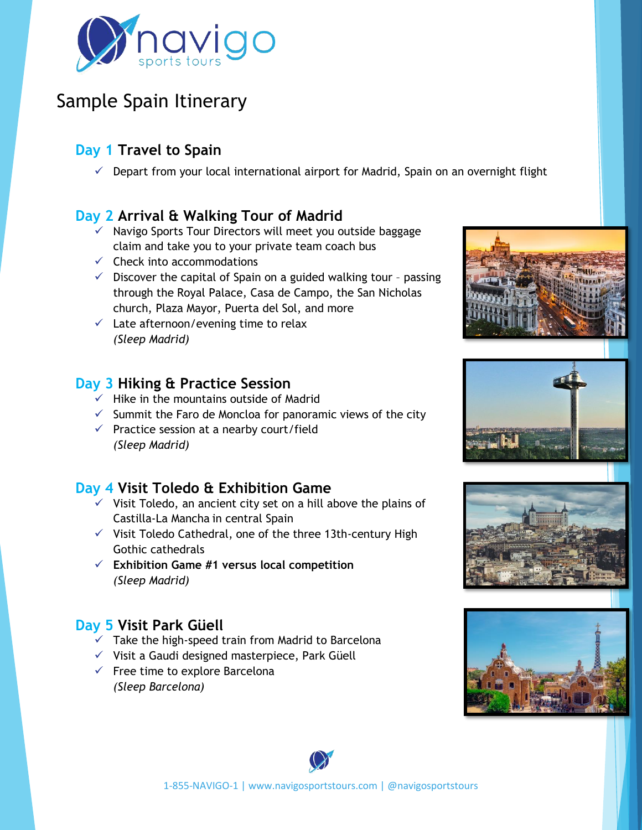

# Sample Spain Itinerary

## **Day 1 Travel to Spain**

 $\checkmark$  Depart from your local international airport for Madrid, Spain on an overnight flight

## **Day 2 Arrival & Walking Tour of Madrid**

- ✓ Navigo Sports Tour Directors will meet you outside baggage claim and take you to your private team coach bus
- $\checkmark$  Check into accommodations
- $\checkmark$  Discover the capital of Spain on a guided walking tour passing through the Royal Palace, Casa de Campo, the San Nicholas church, Plaza Mayor, Puerta del Sol, and more
- $\checkmark$  Late afternoon/evening time to relax *(Sleep Madrid)*

#### **Day 3 Hiking & Practice Session**

- $\checkmark$  Hike in the mountains outside of Madrid
- $\checkmark$  Summit the Faro de Moncloa for panoramic views of the city
- $\checkmark$  Practice session at a nearby court/field *(Sleep Madrid)*

## **Day 4 Visit Toledo & Exhibition Game**

- $\checkmark$  Visit Toledo, an ancient city set on a hill above the plains of Castilla-La Mancha in central Spain
- $\checkmark$  Visit Toledo Cathedral, one of the three 13th-century High Gothic cathedrals
- ✓ **Exhibition Game #1 versus local competition**  *(Sleep Madrid)*

## **Day 5 Visit Park Güell**

- $\checkmark$  Take the high-speed train from Madrid to Barcelona
- ✓ Visit a Gaudi designed masterpiece, Park Güell
- $\checkmark$  Free time to explore Barcelona *(Sleep Barcelona)*